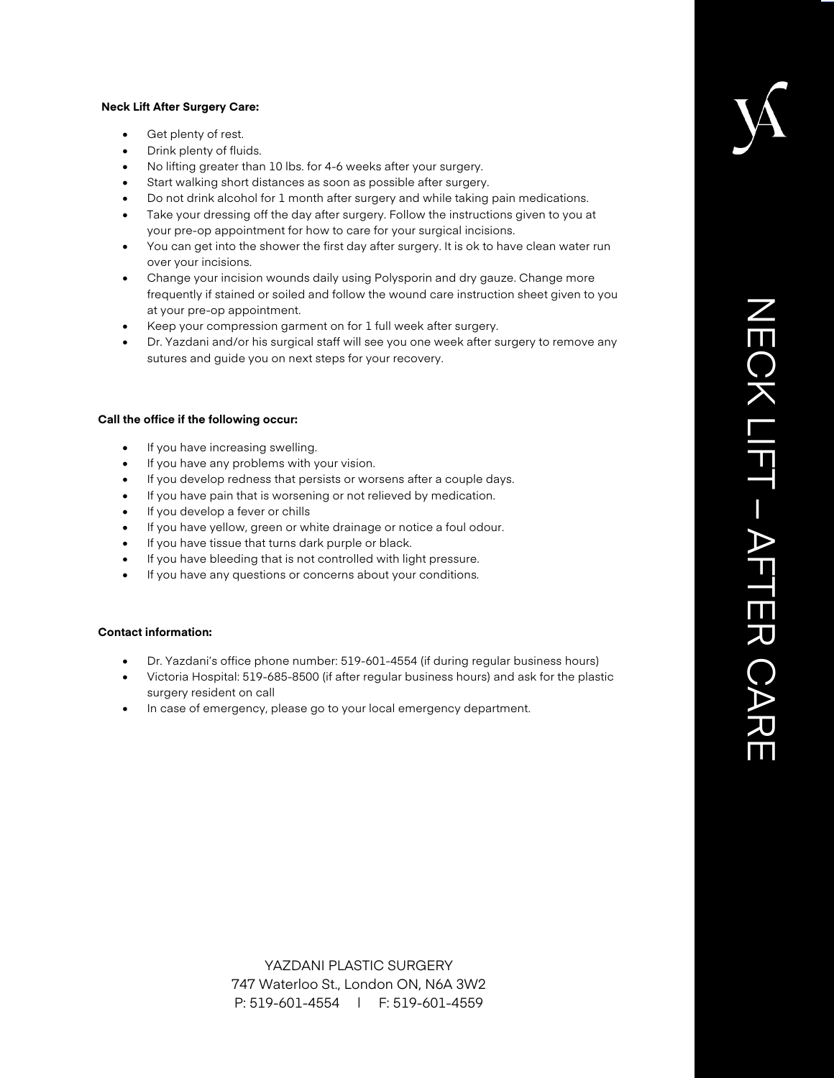#### **Neck Lift After Surgery Care:**

- Get plenty of rest.
- Drink plenty of fluids.
- No lifting greater than 10 lbs. for 4-6 weeks after your surgery.
- Start walking short distances as soon as possible after surgery.
- Do not drink alcohol for 1 month after surgery and while taking pain medications.
- Take your dressing off the day after surgery. Follow the instructions given to you at your pre-op appointment for how to care for your surgical incisions.
- You can get into the shower the first day after surgery. It is ok to have clean water run over your incisions.
- Change your incision wounds daily using Polysporin and dry gauze. Change more frequently if stained or soiled and follow the wound care instruction sheet given to you at your pre-op appointment.
- Keep your compression garment on for 1 full week after surgery.
- Dr. Yazdani and/or his surgical staff will see you one week after surgery to remove any sutures and guide you on next steps for your recovery.

### **Call the office if the following occur:**

- If you have increasing swelling.
- If you have any problems with your vision.
- If you develop redness that persists or worsens after a couple days.
- If you have pain that is worsening or not relieved by medication.
- If you develop a fever or chills
- If you have yellow, green or white drainage or notice a foul odour.
- If you have tissue that turns dark purple or black.
- If you have bleeding that is not controlled with light pressure.
- If you have any questions or concerns about your conditions.

### **Contact information:**

- Dr. Yazdani's office phone number: 519-601-4554 (if during regular business hours)
- Victoria Hospital: 519-685-8500 (if after regular business hours) and ask for the plastic surgery resident on call
- In case of emergency, please go to your local emergency department.

YAZDANI PLASTIC SURGERY 747 Waterloo St., London ON, N6A 3W2 P: 519-601-4554 | F: 519-601-4559